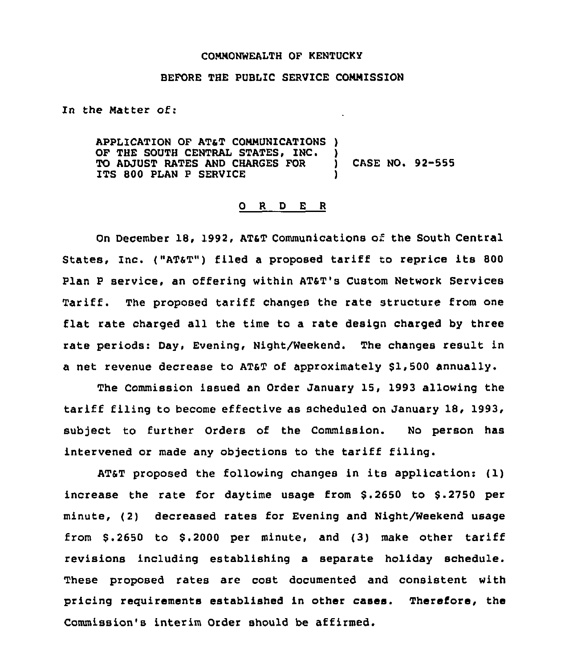## COMMONWEALTH OF KENTUCKY

## BEFORE THE PUBLIC SERVICE COMMISSION

In the Matter of:

APPLICATION OF AT&T COMMUNICATIONS )<br>OF THE SOUTH CENTRAL STATES, INC. ) OF THE SOUTH CENTRAL STATES, INC. )<br>TO ADJUST RATES AND CHARGES FOR ) TO ADJUST RATES AND CHARGES FOR ) CASE NO. 92-555 ITS 800 PLAN P SERVICE

## 0 <sup>R</sup> <sup>D</sup> E <sup>R</sup>

On December 18, 1992, AT&T Communications of the South Central States, Inc. ("AT&T") filed a proposed tariff to reprice its 800 plan <sup>p</sup> service, an offering within ATaT's Custom Network Services Tariff. The proposed tariff changes the rate structure from one flat rate charged all the time to a rate design charged by three rate periods: Day, Evening, Night/Weekend. The changes result in a net revenue decrease to ATaT of approximately \$1,500 annually.

The Commission issued an Order January 15, 1993 allowing the tariff filing to become effective as scheduled on January 18, 1993, subject to further Orders of the Commission. No person has intervened or made any objections to the tariff filing.

ATaT proposed the following changes in its application: (1) increase the rate for daytime usage from  $$.2650$  to  $$.2750$  per minute, (2) decreased rates for Evening and Night/Weekend usage from  $$.2650$  to  $$.2000$  per minute, and  $(3)$  make other tariff revisions including establishing a separate holiday schedule. These proposed rates are cost documented and consistent with pricing requirements established in other cases. Therefore, the Commission's interim Order should be affirmed.